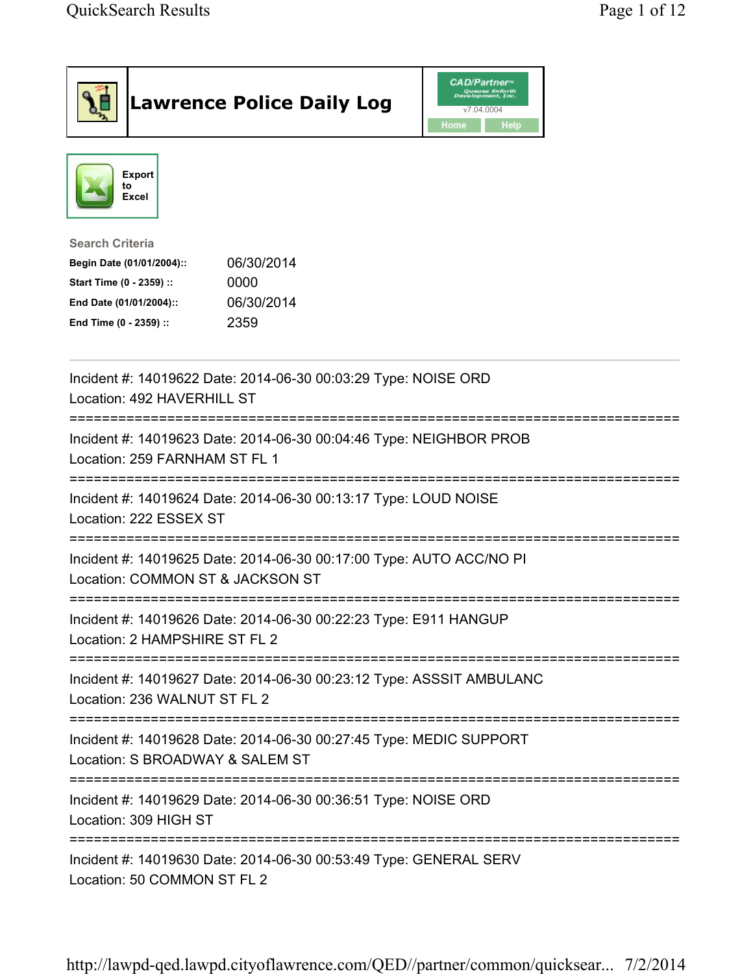| <b>Lawrence Police Daily Log</b>                                                                                                                                                 | <b>CAD/Partner</b> "<br>Queues Enforth<br>Development, Inc.<br>v7.04.0004<br>Home<br>Help |
|----------------------------------------------------------------------------------------------------------------------------------------------------------------------------------|-------------------------------------------------------------------------------------------|
| <b>Export</b><br>to<br>Excel                                                                                                                                                     |                                                                                           |
| <b>Search Criteria</b><br>06/30/2014<br>Begin Date (01/01/2004)::<br>Start Time (0 - 2359) ::<br>0000<br>06/30/2014<br>End Date (01/01/2004)::<br>End Time (0 - 2359) ::<br>2359 |                                                                                           |
| Incident #: 14019622 Date: 2014-06-30 00:03:29 Type: NOISE ORD<br>Location: 492 HAVERHILL ST                                                                                     |                                                                                           |
| Incident #: 14019623 Date: 2014-06-30 00:04:46 Type: NEIGHBOR PROB<br>Location: 259 FARNHAM ST FL 1                                                                              |                                                                                           |
| Incident #: 14019624 Date: 2014-06-30 00:13:17 Type: LOUD NOISE<br>Location: 222 ESSEX ST                                                                                        |                                                                                           |
| Incident #: 14019625 Date: 2014-06-30 00:17:00 Type: AUTO ACC/NO PI<br>Location: COMMON ST & JACKSON ST                                                                          |                                                                                           |
| Incident #: 14019626 Date: 2014-06-30 00:22:23 Type: E911 HANGUP<br>Location: 2 HAMPSHIRE ST FL 2                                                                                |                                                                                           |
| Incident #: 14019627 Date: 2014-06-30 00:23:12 Type: ASSSIT AMBULANC<br>Location: 236 WALNUT ST FL 2                                                                             |                                                                                           |
| Incident #: 14019628 Date: 2014-06-30 00:27:45 Type: MEDIC SUPPORT<br>Location: S BROADWAY & SALEM ST                                                                            |                                                                                           |
| Incident #: 14019629 Date: 2014-06-30 00:36:51 Type: NOISE ORD<br>Location: 309 HIGH ST                                                                                          |                                                                                           |
| ===============================<br>Incident #: 14019630 Date: 2014-06-30 00:53:49 Type: GENERAL SERV<br>Location: 50 COMMON ST FL 2                                              |                                                                                           |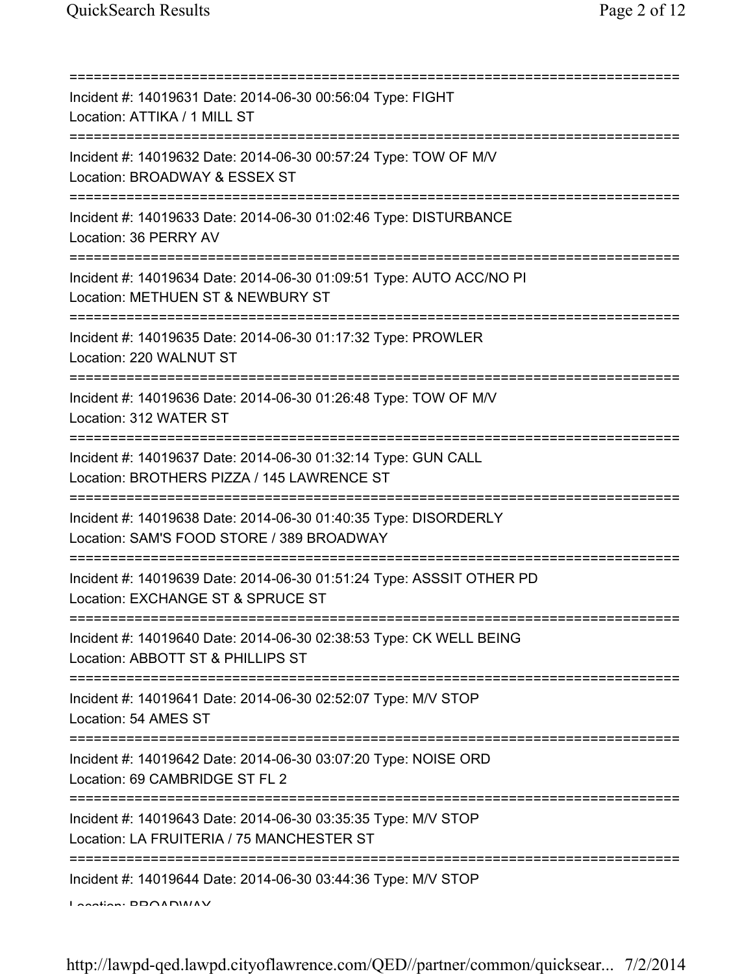| Incident #: 14019631 Date: 2014-06-30 00:56:04 Type: FIGHT<br>Location: ATTIKA / 1 MILL ST                                           |
|--------------------------------------------------------------------------------------------------------------------------------------|
| Incident #: 14019632 Date: 2014-06-30 00:57:24 Type: TOW OF M/V<br>Location: BROADWAY & ESSEX ST<br>================================ |
| Incident #: 14019633 Date: 2014-06-30 01:02:46 Type: DISTURBANCE<br>Location: 36 PERRY AV<br>.================================       |
| Incident #: 14019634 Date: 2014-06-30 01:09:51 Type: AUTO ACC/NO PI<br>Location: METHUEN ST & NEWBURY ST                             |
| Incident #: 14019635 Date: 2014-06-30 01:17:32 Type: PROWLER<br>Location: 220 WALNUT ST                                              |
| Incident #: 14019636 Date: 2014-06-30 01:26:48 Type: TOW OF M/V<br>Location: 312 WATER ST                                            |
| Incident #: 14019637 Date: 2014-06-30 01:32:14 Type: GUN CALL<br>Location: BROTHERS PIZZA / 145 LAWRENCE ST                          |
| Incident #: 14019638 Date: 2014-06-30 01:40:35 Type: DISORDERLY<br>Location: SAM'S FOOD STORE / 389 BROADWAY                         |
| Incident #: 14019639 Date: 2014-06-30 01:51:24 Type: ASSSIT OTHER PD<br>Location: EXCHANGE ST & SPRUCE ST                            |
| Incident #: 14019640 Date: 2014-06-30 02:38:53 Type: CK WELL BEING<br>Location: ABBOTT ST & PHILLIPS ST                              |
| Incident #: 14019641 Date: 2014-06-30 02:52:07 Type: M/V STOP<br>Location: 54 AMES ST                                                |
| Incident #: 14019642 Date: 2014-06-30 03:07:20 Type: NOISE ORD<br>Location: 69 CAMBRIDGE ST FL 2                                     |
| Incident #: 14019643 Date: 2014-06-30 03:35:35 Type: M/V STOP<br>Location: LA FRUITERIA / 75 MANCHESTER ST                           |
| Incident #: 14019644 Date: 2014-06-30 03:44:36 Type: M/V STOP<br>$I$ Anatian: DDOADIMIAV                                             |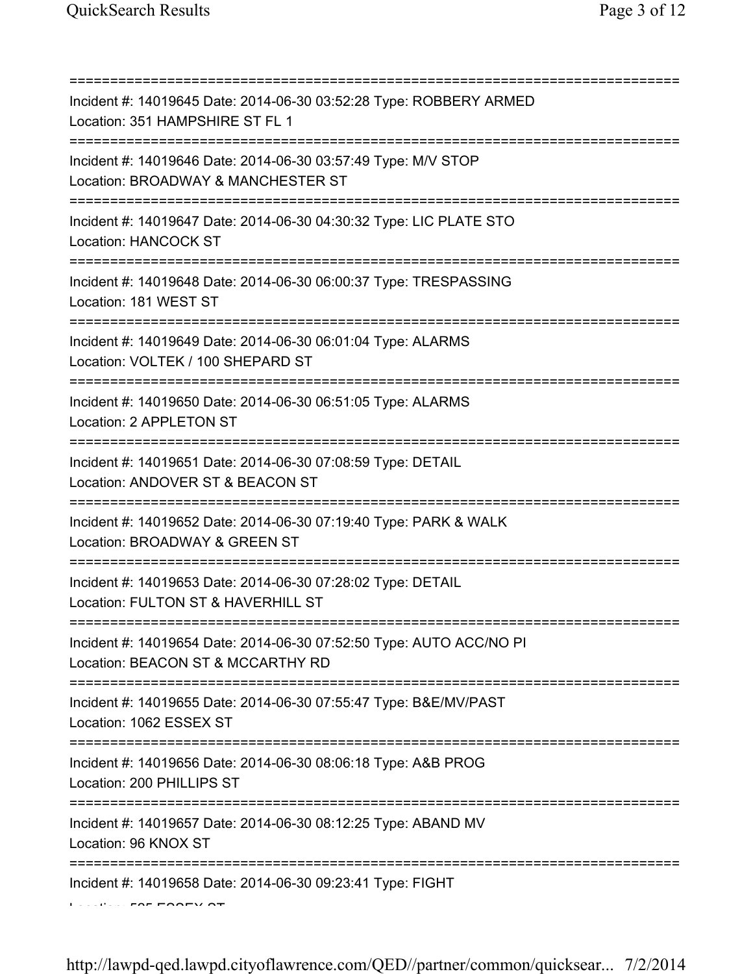| Incident #: 14019645 Date: 2014-06-30 03:52:28 Type: ROBBERY ARMED<br>Location: 351 HAMPSHIRE ST FL 1                                                                  |
|------------------------------------------------------------------------------------------------------------------------------------------------------------------------|
| :=====================<br>Incident #: 14019646 Date: 2014-06-30 03:57:49 Type: M/V STOP<br>Location: BROADWAY & MANCHESTER ST<br>===================================== |
| Incident #: 14019647 Date: 2014-06-30 04:30:32 Type: LIC PLATE STO<br>Location: HANCOCK ST<br>:=====================                                                   |
| Incident #: 14019648 Date: 2014-06-30 06:00:37 Type: TRESPASSING<br>Location: 181 WEST ST                                                                              |
| Incident #: 14019649 Date: 2014-06-30 06:01:04 Type: ALARMS<br>Location: VOLTEK / 100 SHEPARD ST                                                                       |
| Incident #: 14019650 Date: 2014-06-30 06:51:05 Type: ALARMS<br>Location: 2 APPLETON ST<br>===============                                                              |
| Incident #: 14019651 Date: 2014-06-30 07:08:59 Type: DETAIL<br>Location: ANDOVER ST & BEACON ST                                                                        |
| Incident #: 14019652 Date: 2014-06-30 07:19:40 Type: PARK & WALK<br>Location: BROADWAY & GREEN ST                                                                      |
| Incident #: 14019653 Date: 2014-06-30 07:28:02 Type: DETAIL<br>Location: FULTON ST & HAVERHILL ST                                                                      |
| Incident #: 14019654 Date: 2014-06-30 07:52:50 Type: AUTO ACC/NO PI<br>Location: BEACON ST & MCCARTHY RD                                                               |
| Incident #: 14019655 Date: 2014-06-30 07:55:47 Type: B&E/MV/PAST<br>Location: 1062 ESSEX ST                                                                            |
| Incident #: 14019656 Date: 2014-06-30 08:06:18 Type: A&B PROG<br>Location: 200 PHILLIPS ST                                                                             |
| ======================<br>Incident #: 14019657 Date: 2014-06-30 08:12:25 Type: ABAND MV<br>Location: 96 KNOX ST                                                        |
| Incident #: 14019658 Date: 2014-06-30 09:23:41 Type: FIGHT                                                                                                             |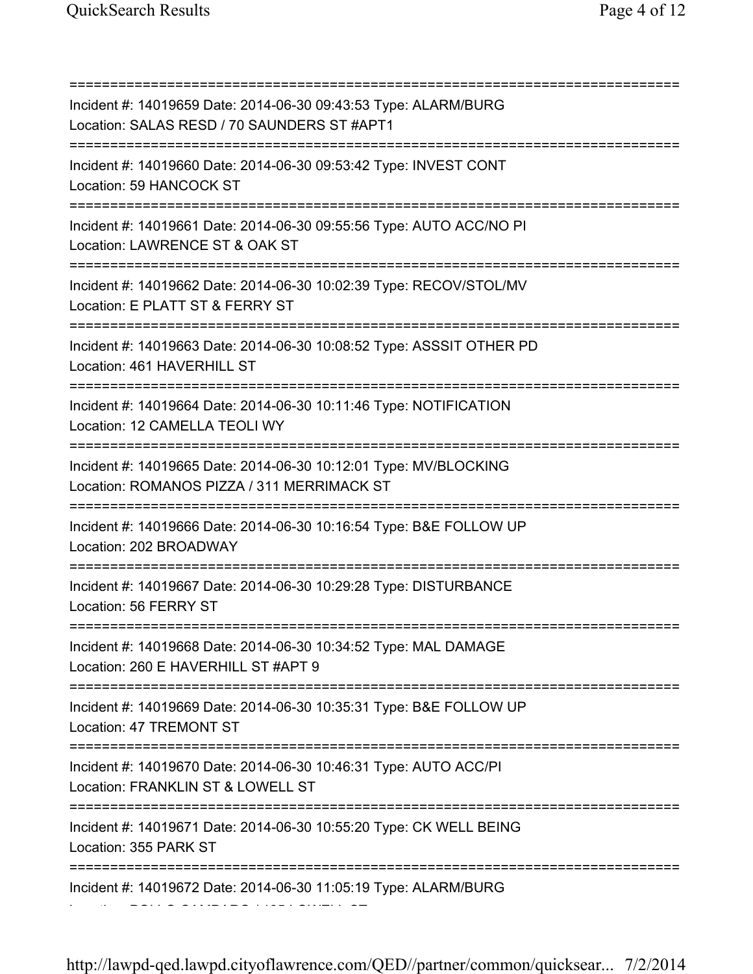=========================================================================== Incident #: 14019659 Date: 2014-06-30 09:43:53 Type: ALARM/BURG Location: SALAS RESD / 70 SAUNDERS ST #APT1 =========================================================================== Incident #: 14019660 Date: 2014-06-30 09:53:42 Type: INVEST CONT Location: 59 HANCOCK ST =========================================================================== Incident #: 14019661 Date: 2014-06-30 09:55:56 Type: AUTO ACC/NO PI Location: LAWRENCE ST & OAK ST =========================================================================== Incident #: 14019662 Date: 2014-06-30 10:02:39 Type: RECOV/STOL/MV Location: E PLATT ST & FERRY ST =========================================================================== Incident #: 14019663 Date: 2014-06-30 10:08:52 Type: ASSSIT OTHER PD Location: 461 HAVERHILL ST =========================================================================== Incident #: 14019664 Date: 2014-06-30 10:11:46 Type: NOTIFICATION Location: 12 CAMELLA TEOLI WY =========================================================================== Incident #: 14019665 Date: 2014-06-30 10:12:01 Type: MV/BLOCKING Location: ROMANOS PIZZA / 311 MERRIMACK ST =========================================================================== Incident #: 14019666 Date: 2014-06-30 10:16:54 Type: B&E FOLLOW UP Location: 202 BROADWAY =========================================================================== Incident #: 14019667 Date: 2014-06-30 10:29:28 Type: DISTURBANCE Location: 56 FERRY ST =========================================================================== Incident #: 14019668 Date: 2014-06-30 10:34:52 Type: MAL DAMAGE Location: 260 E HAVERHILL ST #APT 9 =========================================================================== Incident #: 14019669 Date: 2014-06-30 10:35:31 Type: B&E FOLLOW UP Location: 47 TREMONT ST =========================================================================== Incident #: 14019670 Date: 2014-06-30 10:46:31 Type: AUTO ACC/PI Location: FRANKLIN ST & LOWELL ST =========================================================================== Incident #: 14019671 Date: 2014-06-30 10:55:20 Type: CK WELL BEING Location: 355 PARK ST =========================================================================== Incident #: 14019672 Date: 2014-06-30 11:05:19 Type: ALARM/BURG Location: POLLO CAMPARO / 195 LOWELL ST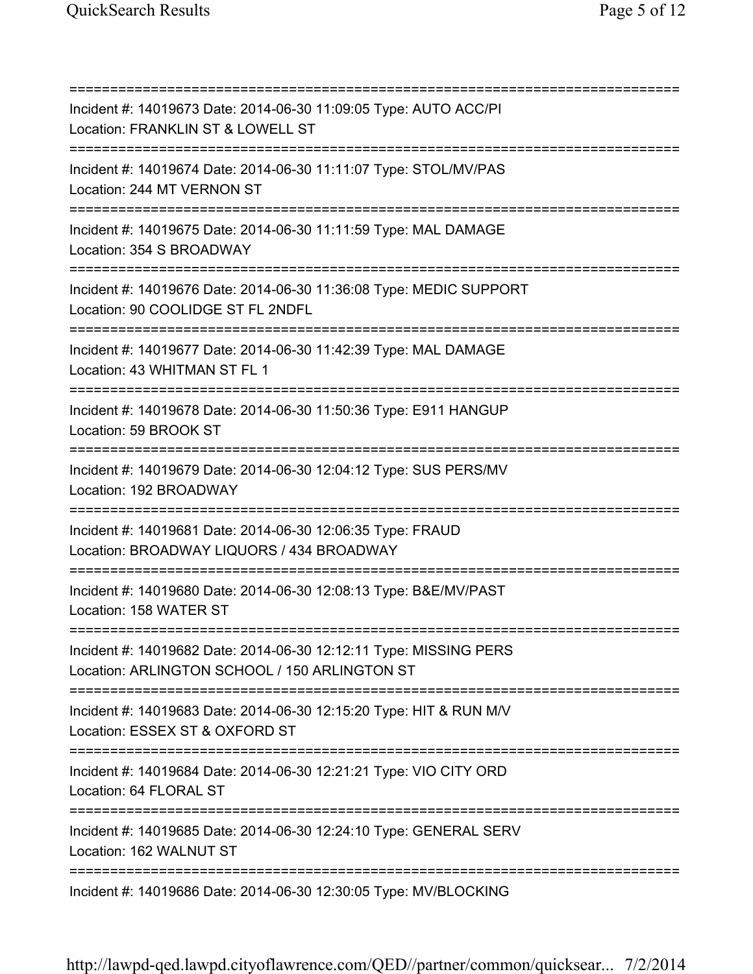=========================================================================== Incident #: 14019673 Date: 2014-06-30 11:09:05 Type: AUTO ACC/PI Location: FRANKLIN ST & LOWELL ST =========================================================================== Incident #: 14019674 Date: 2014-06-30 11:11:07 Type: STOL/MV/PAS Location: 244 MT VERNON ST =========================================================================== Incident #: 14019675 Date: 2014-06-30 11:11:59 Type: MAL DAMAGE Location: 354 S BROADWAY =========================================================================== Incident #: 14019676 Date: 2014-06-30 11:36:08 Type: MEDIC SUPPORT Location: 90 COOLIDGE ST FL 2NDFL =========================================================================== Incident #: 14019677 Date: 2014-06-30 11:42:39 Type: MAL DAMAGE Location: 43 WHITMAN ST FL 1 =========================================================================== Incident #: 14019678 Date: 2014-06-30 11:50:36 Type: E911 HANGUP Location: 59 BROOK ST =========================================================================== Incident #: 14019679 Date: 2014-06-30 12:04:12 Type: SUS PERS/MV Location: 192 BROADWAY =========================================================================== Incident #: 14019681 Date: 2014-06-30 12:06:35 Type: FRAUD Location: BROADWAY LIQUORS / 434 BROADWAY =========================================================================== Incident #: 14019680 Date: 2014-06-30 12:08:13 Type: B&E/MV/PAST Location: 158 WATER ST =========================================================================== Incident #: 14019682 Date: 2014-06-30 12:12:11 Type: MISSING PERS Location: ARLINGTON SCHOOL / 150 ARLINGTON ST =========================================================================== Incident #: 14019683 Date: 2014-06-30 12:15:20 Type: HIT & RUN M/V Location: ESSEX ST & OXFORD ST =========================================================================== Incident #: 14019684 Date: 2014-06-30 12:21:21 Type: VIO CITY ORD Location: 64 FLORAL ST =========================================================================== Incident #: 14019685 Date: 2014-06-30 12:24:10 Type: GENERAL SERV Location: 162 WALNUT ST =========================================================================== Incident #: 14019686 Date: 2014-06-30 12:30:05 Type: MV/BLOCKING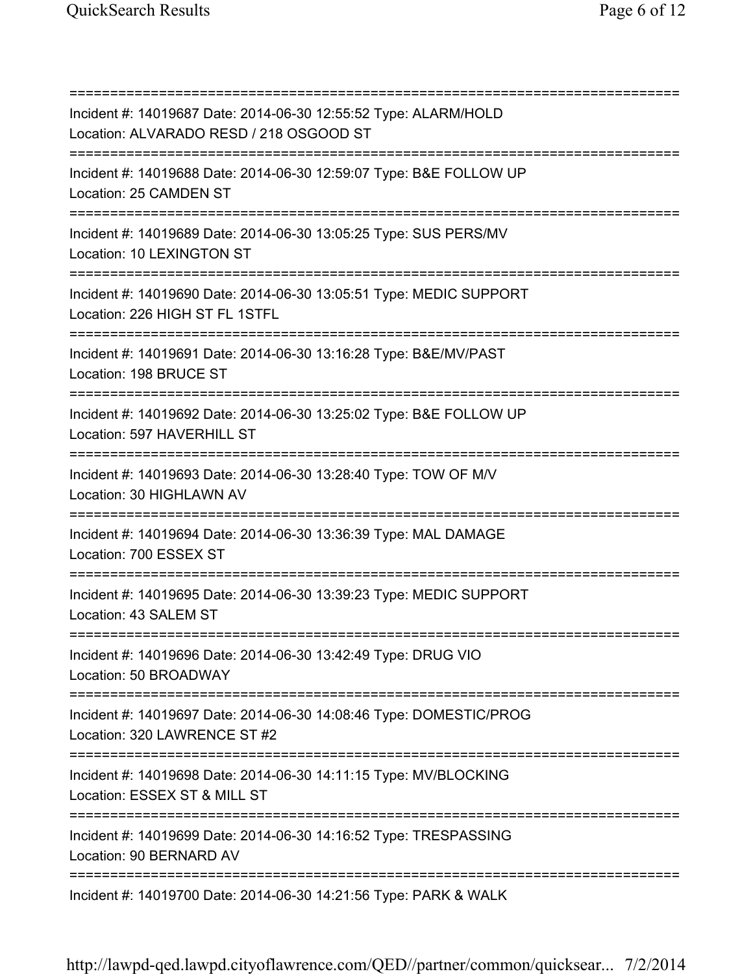=========================================================================== Incident #: 14019687 Date: 2014-06-30 12:55:52 Type: ALARM/HOLD Location: ALVARADO RESD / 218 OSGOOD ST =========================================================================== Incident #: 14019688 Date: 2014-06-30 12:59:07 Type: B&E FOLLOW UP Location: 25 CAMDEN ST =========================================================================== Incident #: 14019689 Date: 2014-06-30 13:05:25 Type: SUS PERS/MV Location: 10 LEXINGTON ST =========================================================================== Incident #: 14019690 Date: 2014-06-30 13:05:51 Type: MEDIC SUPPORT Location: 226 HIGH ST FL 1STFL =========================================================================== Incident #: 14019691 Date: 2014-06-30 13:16:28 Type: B&E/MV/PAST Location: 198 BRUCE ST =========================================================================== Incident #: 14019692 Date: 2014-06-30 13:25:02 Type: B&E FOLLOW UP Location: 597 HAVERHILL ST =========================================================================== Incident #: 14019693 Date: 2014-06-30 13:28:40 Type: TOW OF M/V Location: 30 HIGHLAWN AV =========================================================================== Incident #: 14019694 Date: 2014-06-30 13:36:39 Type: MAL DAMAGE Location: 700 ESSEX ST =========================================================================== Incident #: 14019695 Date: 2014-06-30 13:39:23 Type: MEDIC SUPPORT Location: 43 SALEM ST =========================================================================== Incident #: 14019696 Date: 2014-06-30 13:42:49 Type: DRUG VIO Location: 50 BROADWAY =========================================================================== Incident #: 14019697 Date: 2014-06-30 14:08:46 Type: DOMESTIC/PROG Location: 320 LAWRENCE ST #2 =========================================================================== Incident #: 14019698 Date: 2014-06-30 14:11:15 Type: MV/BLOCKING Location: ESSEX ST & MILL ST =========================================================================== Incident #: 14019699 Date: 2014-06-30 14:16:52 Type: TRESPASSING Location: 90 BERNARD AV =========================================================================== Incident #: 14019700 Date: 2014-06-30 14:21:56 Type: PARK & WALK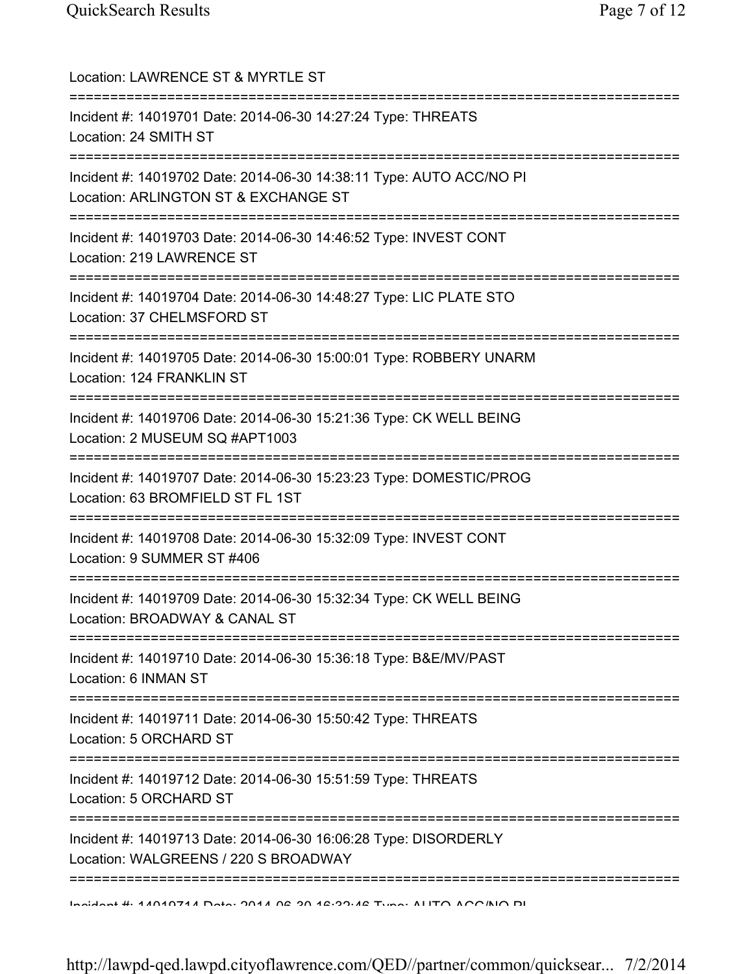| Location: LAWRENCE ST & MYRTLE ST                                                                           |
|-------------------------------------------------------------------------------------------------------------|
| Incident #: 14019701 Date: 2014-06-30 14:27:24 Type: THREATS<br>Location: 24 SMITH ST                       |
| Incident #: 14019702 Date: 2014-06-30 14:38:11 Type: AUTO ACC/NO PI<br>Location: ARLINGTON ST & EXCHANGE ST |
| Incident #: 14019703 Date: 2014-06-30 14:46:52 Type: INVEST CONT<br>Location: 219 LAWRENCE ST               |
| Incident #: 14019704 Date: 2014-06-30 14:48:27 Type: LIC PLATE STO<br>Location: 37 CHELMSFORD ST            |
| Incident #: 14019705 Date: 2014-06-30 15:00:01 Type: ROBBERY UNARM<br>Location: 124 FRANKLIN ST             |
| Incident #: 14019706 Date: 2014-06-30 15:21:36 Type: CK WELL BEING<br>Location: 2 MUSEUM SQ #APT1003        |
| Incident #: 14019707 Date: 2014-06-30 15:23:23 Type: DOMESTIC/PROG<br>Location: 63 BROMFIELD ST FL 1ST      |
| Incident #: 14019708 Date: 2014-06-30 15:32:09 Type: INVEST CONT<br>Location: 9 SUMMER ST #406              |
| Incident #: 14019709 Date: 2014-06-30 15:32:34 Type: CK WELL BEING<br>Location: BROADWAY & CANAL ST         |
| Incident #: 14019710 Date: 2014-06-30 15:36:18 Type: B&E/MV/PAST<br>Location: 6 INMAN ST                    |
| Incident #: 14019711 Date: 2014-06-30 15:50:42 Type: THREATS<br>Location: 5 ORCHARD ST                      |
| Incident #: 14019712 Date: 2014-06-30 15:51:59 Type: THREATS<br>Location: 5 ORCHARD ST                      |
| Incident #: 14019713 Date: 2014-06-30 16:06:28 Type: DISORDERLY<br>Location: WALGREENS / 220 S BROADWAY     |
|                                                                                                             |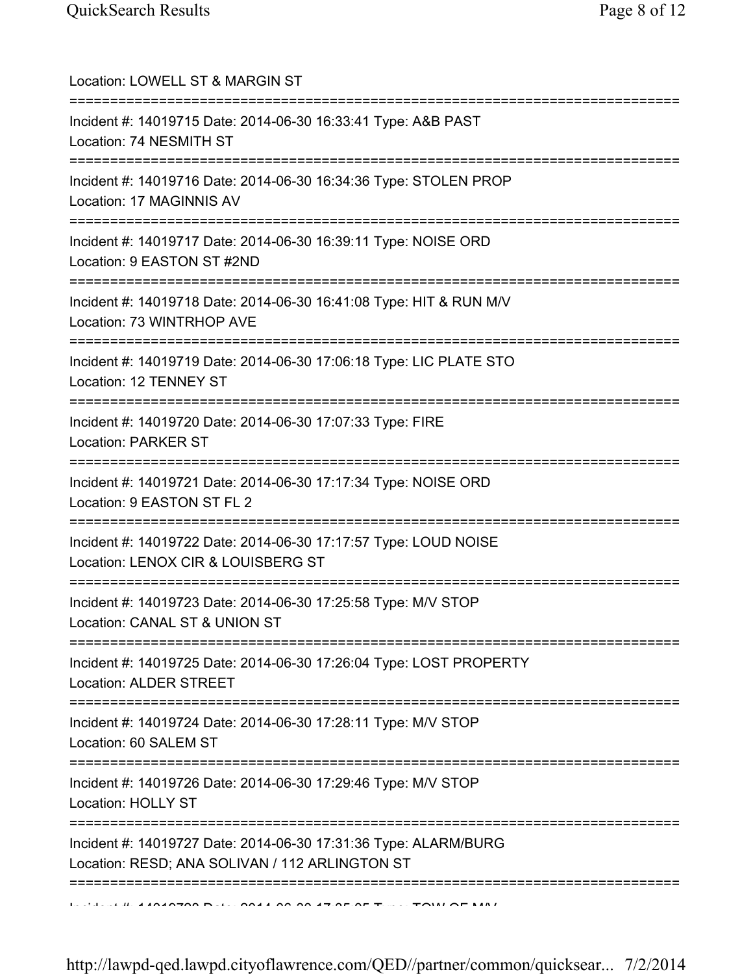| Location: LOWELL ST & MARGIN ST                                                                                                         |
|-----------------------------------------------------------------------------------------------------------------------------------------|
| Incident #: 14019715 Date: 2014-06-30 16:33:41 Type: A&B PAST<br>Location: 74 NESMITH ST                                                |
| Incident #: 14019716 Date: 2014-06-30 16:34:36 Type: STOLEN PROP<br>Location: 17 MAGINNIS AV                                            |
| Incident #: 14019717 Date: 2014-06-30 16:39:11 Type: NOISE ORD<br>Location: 9 EASTON ST #2ND                                            |
| Incident #: 14019718 Date: 2014-06-30 16:41:08 Type: HIT & RUN M/V<br>Location: 73 WINTRHOP AVE<br>==================================== |
| Incident #: 14019719 Date: 2014-06-30 17:06:18 Type: LIC PLATE STO<br>Location: 12 TENNEY ST                                            |
| Incident #: 14019720 Date: 2014-06-30 17:07:33 Type: FIRE<br><b>Location: PARKER ST</b>                                                 |
| Incident #: 14019721 Date: 2014-06-30 17:17:34 Type: NOISE ORD<br>Location: 9 EASTON ST FL 2                                            |
| Incident #: 14019722 Date: 2014-06-30 17:17:57 Type: LOUD NOISE<br>Location: LENOX CIR & LOUISBERG ST                                   |
| Incident #: 14019723 Date: 2014-06-30 17:25:58 Type: M/V STOP<br>Location: CANAL ST & UNION ST                                          |
| Incident #: 14019725 Date: 2014-06-30 17:26:04 Type: LOST PROPERTY<br><b>Location: ALDER STREET</b>                                     |
| ;===================================<br>Incident #: 14019724 Date: 2014-06-30 17:28:11 Type: M/V STOP<br>Location: 60 SALEM ST          |
| Incident #: 14019726 Date: 2014-06-30 17:29:46 Type: M/V STOP<br>Location: HOLLY ST                                                     |
| Incident #: 14019727 Date: 2014-06-30 17:31:36 Type: ALARM/BURG<br>Location: RESD; ANA SOLIVAN / 112 ARLINGTON ST                       |
|                                                                                                                                         |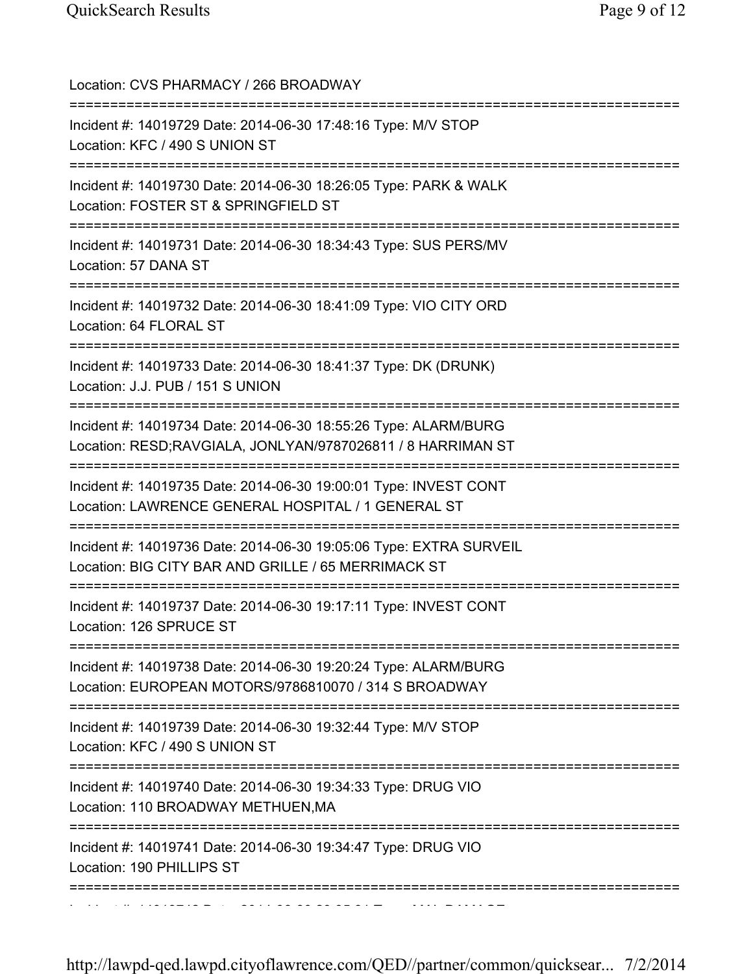| Location: CVS PHARMACY / 266 BROADWAY<br>==================================                                                                                            |
|------------------------------------------------------------------------------------------------------------------------------------------------------------------------|
| Incident #: 14019729 Date: 2014-06-30 17:48:16 Type: M/V STOP<br>Location: KFC / 490 S UNION ST<br>===================================                                 |
| Incident #: 14019730 Date: 2014-06-30 18:26:05 Type: PARK & WALK<br>Location: FOSTER ST & SPRINGFIELD ST                                                               |
| Incident #: 14019731 Date: 2014-06-30 18:34:43 Type: SUS PERS/MV<br>Location: 57 DANA ST<br>=============================                                              |
| Incident #: 14019732 Date: 2014-06-30 18:41:09 Type: VIO CITY ORD<br>Location: 64 FLORAL ST                                                                            |
| Incident #: 14019733 Date: 2014-06-30 18:41:37 Type: DK (DRUNK)<br>Location: J.J. PUB / 151 S UNION                                                                    |
| Incident #: 14019734 Date: 2014-06-30 18:55:26 Type: ALARM/BURG<br>Location: RESD;RAVGIALA, JONLYAN/9787026811 / 8 HARRIMAN ST<br>==================================== |
| Incident #: 14019735 Date: 2014-06-30 19:00:01 Type: INVEST CONT<br>Location: LAWRENCE GENERAL HOSPITAL / 1 GENERAL ST                                                 |
| Incident #: 14019736 Date: 2014-06-30 19:05:06 Type: EXTRA SURVEIL<br>Location: BIG CITY BAR AND GRILLE / 65 MERRIMACK ST                                              |
| Incident #: 14019737 Date: 2014-06-30 19:17:11 Type: INVEST CONT<br>Location: 126 SPRUCE ST<br>=====================================                                   |
| :=======================<br>Incident #: 14019738 Date: 2014-06-30 19:20:24 Type: ALARM/BURG<br>Location: EUROPEAN MOTORS/9786810070 / 314 S BROADWAY                   |
| Incident #: 14019739 Date: 2014-06-30 19:32:44 Type: M/V STOP<br>Location: KFC / 490 S UNION ST                                                                        |
| Incident #: 14019740 Date: 2014-06-30 19:34:33 Type: DRUG VIO<br>Location: 110 BROADWAY METHUEN, MA                                                                    |
| Incident #: 14019741 Date: 2014-06-30 19:34:47 Type: DRUG VIO<br>Location: 190 PHILLIPS ST                                                                             |
|                                                                                                                                                                        |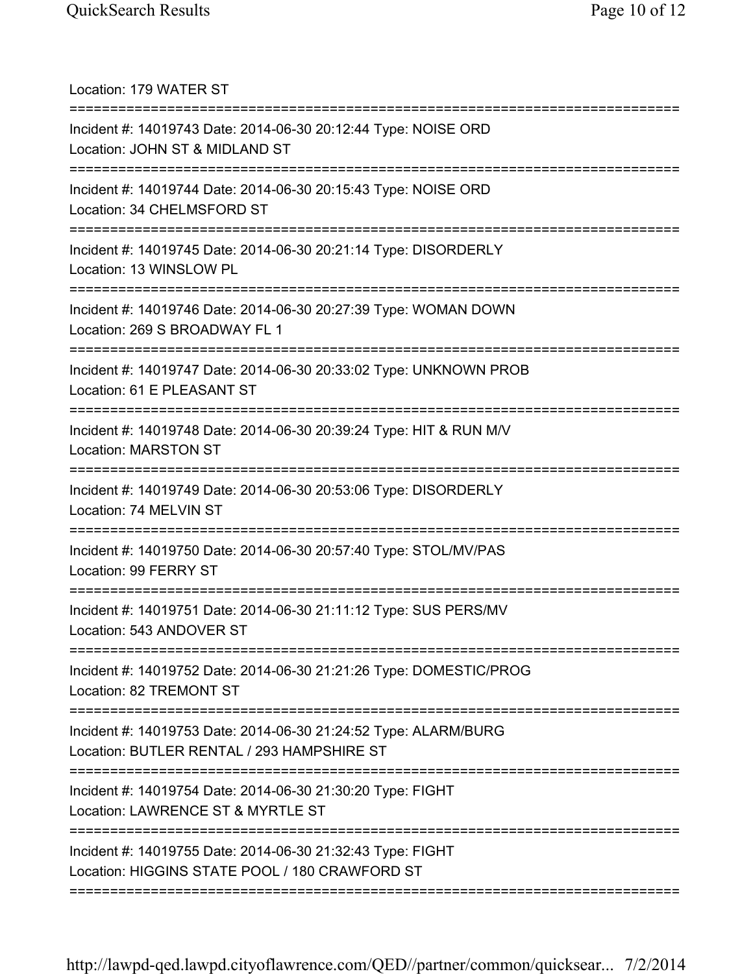Location: 179 WATER ST =========================================================================== Incident #: 14019743 Date: 2014-06-30 20:12:44 Type: NOISE ORD Location: JOHN ST & MIDLAND ST =========================================================================== Incident #: 14019744 Date: 2014-06-30 20:15:43 Type: NOISE ORD Location: 34 CHELMSFORD ST =========================================================================== Incident #: 14019745 Date: 2014-06-30 20:21:14 Type: DISORDERLY Location: 13 WINSLOW PL =========================================================================== Incident #: 14019746 Date: 2014-06-30 20:27:39 Type: WOMAN DOWN Location: 269 S BROADWAY FL 1 =========================================================================== Incident #: 14019747 Date: 2014-06-30 20:33:02 Type: UNKNOWN PROB Location: 61 E PLEASANT ST =========================================================================== Incident #: 14019748 Date: 2014-06-30 20:39:24 Type: HIT & RUN M/V Location: MARSTON ST =========================================================================== Incident #: 14019749 Date: 2014-06-30 20:53:06 Type: DISORDERLY Location: 74 MELVIN ST =========================================================================== Incident #: 14019750 Date: 2014-06-30 20:57:40 Type: STOL/MV/PAS Location: 99 FERRY ST =========================================================================== Incident #: 14019751 Date: 2014-06-30 21:11:12 Type: SUS PERS/MV Location: 543 ANDOVER ST =========================================================================== Incident #: 14019752 Date: 2014-06-30 21:21:26 Type: DOMESTIC/PROG Location: 82 TREMONT ST =========================================================================== Incident #: 14019753 Date: 2014-06-30 21:24:52 Type: ALARM/BURG Location: BUTLER RENTAL / 293 HAMPSHIRE ST =========================================================================== Incident #: 14019754 Date: 2014-06-30 21:30:20 Type: FIGHT Location: LAWRENCE ST & MYRTLE ST =========================================================================== Incident #: 14019755 Date: 2014-06-30 21:32:43 Type: FIGHT Location: HIGGINS STATE POOL / 180 CRAWFORD ST ===========================================================================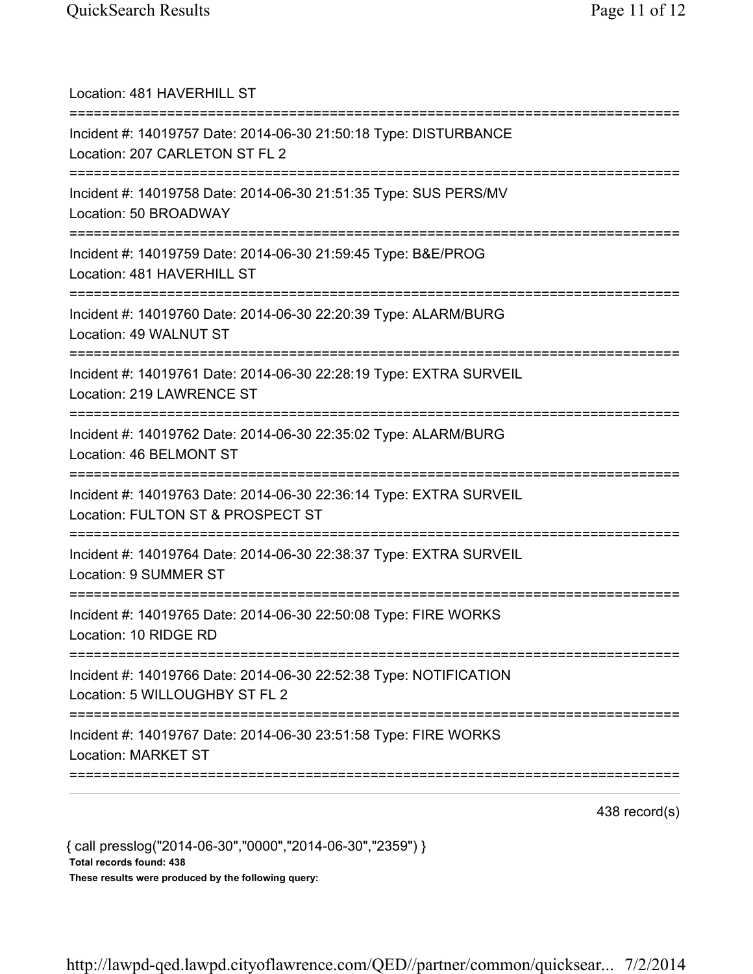| Location: 481 HAVERHILL ST<br>======================================                                                                  |
|---------------------------------------------------------------------------------------------------------------------------------------|
| Incident #: 14019757 Date: 2014-06-30 21:50:18 Type: DISTURBANCE<br>Location: 207 CARLETON ST FL 2                                    |
| Incident #: 14019758 Date: 2014-06-30 21:51:35 Type: SUS PERS/MV<br>Location: 50 BROADWAY                                             |
| Incident #: 14019759 Date: 2014-06-30 21:59:45 Type: B&E/PROG<br>Location: 481 HAVERHILL ST<br>===================================    |
| Incident #: 14019760 Date: 2014-06-30 22:20:39 Type: ALARM/BURG<br>Location: 49 WALNUT ST                                             |
| Incident #: 14019761 Date: 2014-06-30 22:28:19 Type: EXTRA SURVEIL<br>Location: 219 LAWRENCE ST                                       |
| Incident #: 14019762 Date: 2014-06-30 22:35:02 Type: ALARM/BURG<br>Location: 46 BELMONT ST                                            |
| Incident #: 14019763 Date: 2014-06-30 22:36:14 Type: EXTRA SURVEIL<br>Location: FULTON ST & PROSPECT ST                               |
| =========================<br>Incident #: 14019764 Date: 2014-06-30 22:38:37 Type: EXTRA SURVEIL<br>Location: 9 SUMMER ST              |
| Incident #: 14019765 Date: 2014-06-30 22:50:08 Type: FIRE WORKS<br>Location: 10 RIDGE RD                                              |
| Incident #: 14019766 Date: 2014-06-30 22:52:38 Type: NOTIFICATION<br>Location: 5 WILLOUGHBY ST FL 2                                   |
| ====================================<br>Incident #: 14019767 Date: 2014-06-30 23:51:58 Type: FIRE WORKS<br><b>Location: MARKET ST</b> |
|                                                                                                                                       |

438 record(s)

{ call presslog("2014-06-30","0000","2014-06-30","2359") } Total records found: 438 These results were produced by the following query: